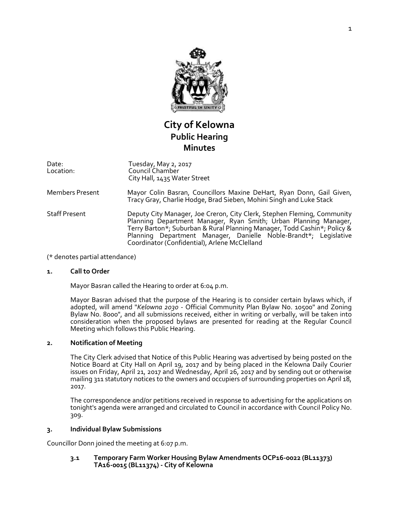

# **City of Kelowna Public Hearing Minutes**

Date: Location: Tuesday, May 2, 2017 Council Chamber City Hall, 1435 Water Street

- Members Present Mayor Colin Basran, Councillors Maxine DeHart, Ryan Donn, Gail Given, Tracy Gray, Charlie Hodge, Brad Sieben, Mohini Singh and Luke Stack
- Staff Present Deputy City Manager, Joe Creron, City Clerk, Stephen Fleming, Community Planning Department Manager, Ryan Smith; Urban Planning Manager, Terry Barton\*; Suburban & Rural Planning Manager, Todd Cashin\*; Policy & Planning Department Manager, Danielle Noble-Brandt\*; Legislative Coordinator (Confidential), Arlene McClelland

(\* denotes partial attendance)

# **1. Call to Order**

Mayor Basran called the Hearing to order at 6:04 p.m.

Mayor Basran advised that the purpose of the Hearing is to consider certain bylaws which, if adopted, will amend "*Kelowna 2030* - Official Community Plan Bylaw No. 10500" and Zoning Bylaw No. 8000", and all submissions received, either in writing or verbally, will be taken into consideration when the proposed bylaws are presented for reading at the Regular Council Meeting which follows this Public Hearing.

# **2. Notification of Meeting**

The City Clerk advised that Notice of this Public Hearing was advertised by being posted on the Notice Board at City Hall on April 19, 2017 and by being placed in the Kelowna Daily Courier issues on Friday, April 21, 2017 and Wednesday, April 26, 2017 and by sending out or otherwise mailing 311 statutory notices to the owners and occupiers of surrounding properties on April 18, 2017.

The correspondence and/or petitions received in response to advertising for the applications on tonight's agenda were arranged and circulated to Council in accordance with Council Policy No. 309.

#### **3. Individual Bylaw Submissions**

Councillor Donn joined the meeting at 6:07 p.m.

**3.1 Temporary Farm Worker Housing Bylaw Amendments OCP16-0022 (BL11373) TA16-0015 (BL11374) - City of Kelowna**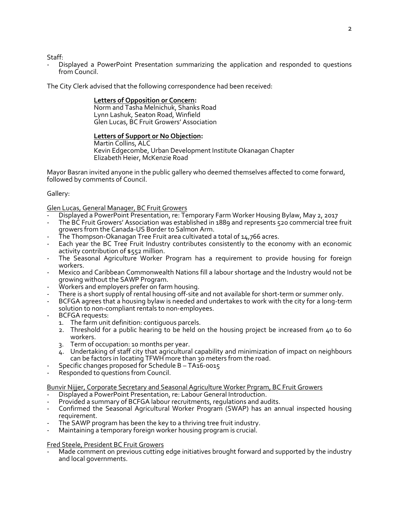Staff:

- Displayed a PowerPoint Presentation summarizing the application and responded to questions from Council.

The City Clerk advised that the following correspondence had been received:

# **Letters of Opposition or Concern:**

Norm and Tasha Melnichuk, Shanks Road Lynn Lashuk, Seaton Road, Winfield Glen Lucas, BC Fruit Growers' Association

# **Letters of Support or No Objection:**

Martin Collins, ALC Kevin Edgecombe, Urban Development Institute Okanagan Chapter Elizabeth Heier, McKenzie Road

Mayor Basran invited anyone in the public gallery who deemed themselves affected to come forward, followed by comments of Council.

# Gallery:

Glen Lucas, General Manager, BC Fruit Growers

- Displayed a PowerPoint Presentation, re: Temporary Farm Worker Housing Bylaw, May 2, 2017
- The BC Fruit Growers' Association was established in 1889 and represents 520 commercial tree fruit growers from the Canada-US Border to Salmon Arm.
- The Thompson-Okanagan Tree Fruit area cultivated a total of  $14,766$  acres.
- Each year the BC Tree Fruit Industry contributes consistently to the economy with an economic activity contribution of \$552 million.
- The Seasonal Agriculture Worker Program has a requirement to provide housing for foreign workers.
- Mexico and Caribbean Commonwealth Nations fill a labour shortage and the Industry would not be growing without the SAWP Program.
- Workers and employers prefer on farm housing.
- There is a short supply of rental housing off-site and not available for short-term or summer only.
- BCFGA agrees that a housing bylaw is needed and undertakes to work with the city for a long-term solution to non-compliant rentals to non-employees.
- BCFGA requests:
	- 1. The farm unit definition: contiguous parcels.
	- 2. Threshold for a public hearing to be held on the housing project be increased from 40 to 60 workers.
	- 3. Term of occupation: 10 months per year.
	- 4. Undertaking of staff city that agricultural capability and minimization of impact on neighbours can be factors in locating TFWH more than 30 meters from the road.
- Specific changes proposed for Schedule B  $-$  TA16-0015
- Responded to questions from Council.

Bunvir Nijjer, Corporate Secretary and Seasonal Agriculture Worker Prgram, BC Fruit Growers

- Displayed a PowerPoint Presentation, re: Labour General Introduction.
- Provided a summary of BCFGA labour recruitments, regulations and audits.
- Confirmed the Seasonal Agricultural Worker Program (SWAP) has an annual inspected housing requirement.
- The SAWP program has been the key to a thriving tree fruit industry.
- Maintaining a temporary foreign worker housing program is crucial.

# Fred Steele, President BC Fruit Growers

Made comment on previous cutting edge initiatives brought forward and supported by the industry and local governments.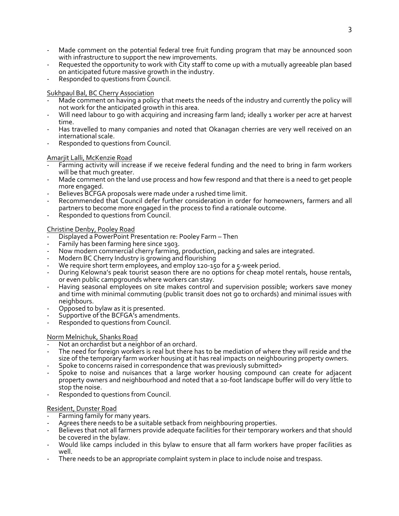- Made comment on the potential federal tree fruit funding program that may be announced soon with infrastructure to support the new improvements.
- Requested the opportunity to work with City staff to come up with a mutually agreeable plan based on anticipated future massive growth in the industry.
- Responded to questions from Council.

# Sukhpaul Bal, BC Cherry Association

- Made comment on having a policy that meets the needs of the industry and currently the policy will not work for the anticipated growth in this area.
- Will need labour to go with acquiring and increasing farm land; ideally 1 worker per acre at harvest time.
- Has travelled to many companies and noted that Okanagan cherries are very well received on an international scale.
- Responded to questions from Council.

# Amarjit Lalli, McKenzie Road

- Farming activity will increase if we receive federal funding and the need to bring in farm workers will be that much greater.
- Made comment on the land use process and how few respond and that there is a need to get people more engaged.
- Believes BCFGA proposals were made under a rushed time limit.
- Recommended that Council defer further consideration in order for homeowners, farmers and all partners to become more engaged in the process to find a rationale outcome.
- Responded to questions from Council.

# Christine Denby, Pooley Road

- Displayed a PowerPoint Presentation re: Pooley Farm Then
- Family has been farming here since 1903.
- Now modern commercial cherry farming, production, packing and sales are integrated.
- Modern BC Cherry Industry is growing and flourishing
- We require short term employees, and employ 120-150 for a 5-week period.
- During Kelowna's peak tourist season there are no options for cheap motel rentals, house rentals, or even public campgrounds where workers can stay.
- Having seasonal employees on site makes control and supervision possible; workers save money and time with minimal commuting (public transit does not go to orchards) and minimal issues with neighbours.
- Opposed to bylaw as it is presented.
- Supportive of the BCFGA's amendments.
- Responded to questions from Council.

# Norm Melnichuk, Shanks Road

- Not an orchardist but a neighbor of an orchard.
- The need for foreign workers is real but there has to be mediation of where they will reside and the size of the temporary farm worker housing at it has real impacts on neighbouring property owners.
- Spoke to concerns raised in correspondence that was previously submitted>
- Spoke to noise and nuisances that a large worker housing compound can create for adjacent property owners and neighbourhood and noted that a 10-foot landscape buffer will do very little to stop the noise.
- Responded to questions from Council.

# Resident, Dunster Road

- Farming family for many years.
- Agrees there needs to be a suitable setback from neighbouring properties.
- Believes that not all farmers provide adequate facilities for their temporary workers and that should be covered in the bylaw.
- Would like camps included in this bylaw to ensure that all farm workers have proper facilities as well.
- There needs to be an appropriate complaint system in place to include noise and trespass.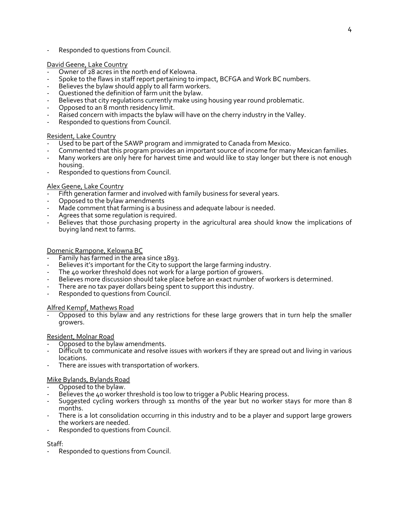Responded to questions from Council.

# David Geene, Lake Country

- Owner of 28 acres in the north end of Kelowna.
- Spoke to the flaws in staff report pertaining to impact, BCFGA and Work BC numbers.
- Believes the bylaw should apply to all farm workers.
- Questioned the definition of farm unit the bylaw.
- Believes that city regulations currently make using housing year round problematic.
- Opposed to an 8 month residency limit.
- Raised concern with impacts the bylaw will have on the cherry industry in the Valley.
- Responded to questions from Council.

#### Resident, Lake Country

- Used to be part of the SAWP program and immigrated to Canada from Mexico.
- Commented that this program provides an important source of income for many Mexican families.
- Many workers are only here for harvest time and would like to stay longer but there is not enough housing.
- Responded to questions from Council.

#### Alex Geene, Lake Country

- Fifth generation farmer and involved with family business for several years.
- Opposed to the bylaw amendments
- Made comment that farming is a business and adequate labour is needed.
- Agrees that some regulation is required.
- Believes that those purchasing property in the agricultural area should know the implications of buying land next to farms.

#### Domenic Rampone, Kelowna BC

- Family has farmed in the area since 1893.
- Believes it's important for the City to support the large farming industry.
- The 40 worker threshold does not work for a large portion of growers.
- Believes more discussion should take place before an exact number of workers is determined.
- There are no tax payer dollars being spent to support this industry.
- Responded to questions from Council.

# Alfred Kempf, Mathews Road

Opposed to this bylaw and any restrictions for these large growers that in turn help the smaller growers.

# Resident, Molnar Road

- Opposed to the bylaw amendments.
- Difficult to communicate and resolve issues with workers if they are spread out and living in various locations.
- There are issues with transportation of workers.

# Mike Bylands, Bylands Road

- Opposed to the bylaw.
- Believes the 40 worker threshold is too low to trigger a Public Hearing process.
- Suggested cycling workers through 11 months of the year but no worker stays for more than 8 months.
- There is a lot consolidation occurring in this industry and to be a player and support large growers the workers are needed.
- Responded to questions from Council.

#### Staff:

Responded to questions from Council.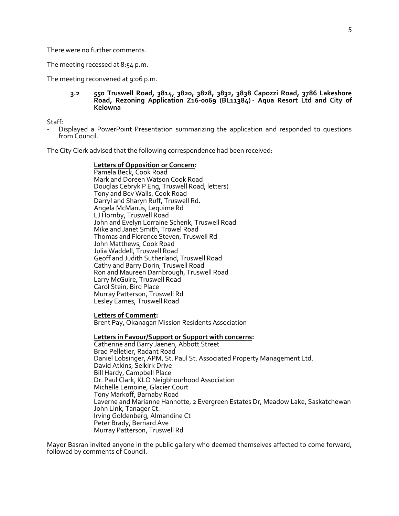There were no further comments.

The meeting recessed at 8:54 p.m.

The meeting reconvened at 9:06 p.m.

#### **3.2 550 Truswell Road, 3814, 3820, 3828, 3832, 3838 Capozzi Road, 3786 Lakeshore Road, Rezoning Application Z16-0069 (BL11384) - Aqua Resort Ltd and City of Kelowna**

Staff:

- Displayed a PowerPoint Presentation summarizing the application and responded to questions from Council.

The City Clerk advised that the following correspondence had been received:

**Letters of Opposition or Concern:** Pamela Beck, Cook Road Mark and Doreen Watson Cook Road Douglas Cebryk P Eng, Truswell Road, letters) Tony and Bev Walls, Cook Road Darryl and Sharyn Ruff, Truswell Rd. Angela McManus, Lequime Rd LJ Hornby, Truswell Road John and Evelyn Lorraine Schenk, Truswell Road Mike and Janet Smith, Trowel Road Thomas and Florence Steven, Truswell Rd John Matthews, Cook Road Julia Waddell, Truswell Road Geoff and Judith Sutherland, Truswell Road Cathy and Barry Dorin, Truswell Road Ron and Maureen Darnbrough, Truswell Road Larry McGuire, Truswell Road Carol Stein, Bird Place Murray Patterson, Truswell Rd Lesley Eames, Truswell Road

#### **Letters of Comment:**

Brent Pay, Okanagan Mission Residents Association

#### **Letters in Favour/Support or Support with concerns:**

Catherine and Barry Jaenen, Abbott Street Brad Pelletier, Radant Road Daniel Lobsinger, APM, St. Paul St. Associated Property Management Ltd. David Atkins, Selkirk Drive Bill Hardy, Campbell Place Dr. Paul Clark, KLO Neigbhourhood Association Michelle Lemoine, Glacier Court Tony Markoff, Barnaby Road Laverne and Marianne Hannotte, 2 Evergreen Estates Dr, Meadow Lake, Saskatchewan John Link, Tanager Ct. Irving Goldenberg, Almandine Ct Peter Brady, Bernard Ave Murray Patterson, Truswell Rd

Mayor Basran invited anyone in the public gallery who deemed themselves affected to come forward, followed by comments of Council.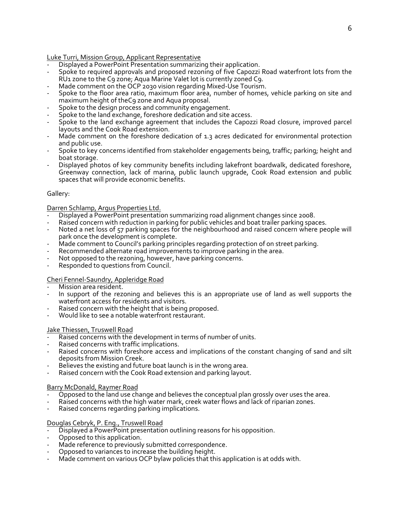# Luke Turri, Mission Group, Applicant Representative

- Displayed a PowerPoint Presentation summarizing their application.
- Spoke to required approvals and proposed rezoning of five Capozzi Road waterfront lots from the RU1 zone to the C9 zone; Aqua Marine Valet lot is currently zoned C9.
- Made comment on the OCP 2030 vision regarding Mixed-Use Tourism.
- Spoke to the floor area ratio, maximum floor area, number of homes, vehicle parking on site and maximum height of theC9 zone and Aqua proposal.
- Spoke to the design process and community engagement.
- Spoke to the land exchange, foreshore dedication and site access.
- Spoke to the land exchange agreement that includes the Capozzi Road closure, improved parcel layouts and the Cook Road extension.
- Made comment on the foreshore dedication of 1.3 acres dedicated for environmental protection and public use.
- Spoke to key concerns identified from stakeholder engagements being, traffic; parking; height and boat storage.
- Displayed photos of key community benefits including lakefront boardwalk, dedicated foreshore, Greenway connection, lack of marina, public launch upgrade, Cook Road extension and public spaces that will provide economic benefits.

# Gallery:

# Darren Schlamp, Argus Properties Ltd.

- Displayed a PowerPoint presentation summarizing road alignment changes since 2008.
- Raised concern with reduction in parking for public vehicles and boat trailer parking spaces.
- Noted a net loss of 57 parking spaces for the neighbourhood and raised concern where people will park once the development is complete.
- Made comment to Council's parking principles regarding protection of on street parking.
- Recommended alternate road improvements to improve parking in the area.
- Not opposed to the rezoning, however, have parking concerns.
- Responded to questions from Council.

# Cheri Fennel-Saundry, Appleridge Road

- Mission area resident.
- In support of the rezoning and believes this is an appropriate use of land as well supports the waterfront access for residents and visitors.
- Raised concern with the height that is being proposed.
- Would like to see a notable waterfront restaurant.

# Jake Thiessen, Truswell Road

- Raised concerns with the development in terms of number of units.
- Raised concerns with traffic implications.
- Raised concerns with foreshore access and implications of the constant changing of sand and silt deposits from Mission Creek.
- Believes the existing and future boat launch is in the wrong area.
- Raised concern with the Cook Road extension and parking layout.

# Barry McDonald, Raymer Road

- Opposed to the land use change and believes the conceptual plan grossly over uses the area.
- Raised concerns with the high water mark, creek water flows and lack of riparian zones.
- Raised concerns regarding parking implications.

# Douglas Cebryk, P. Eng., Truswell Road

- Displayed a PowerPoint presentation outlining reasons for his opposition.
- Opposed to this application.
- Made reference to previously submitted correspondence.
- Opposed to variances to increase the building height.
- Made comment on various OCP bylaw policies that this application is at odds with.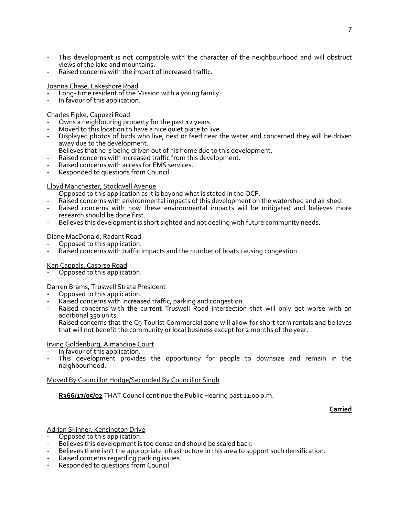- This development is not compatible with the character of the neighbourhood and will obstruct views of the lake and mountains.
- Raised concerns with the impact of increased traffic.

# Joanna Chase, Lakeshore Road

- Long- time resident of the Mission with a young family.
- In favour of this application.

# Charles Fipke, Capozzi Road

- Owns a neighbouring property for the past 12 years.
- Moved to this location to have a nice quiet place to live
- Displayed photos of birds who live, nest or feed near the water and concerned they will be driven away due to the development.
- Believes that he is being driven out of his home due to this development.
- Raised concerns with increased traffic from this development.
- Raised concerns with access for EMS services.
- Responded to questions from Council.

# Lloyd Manchester, Stockwell Avenue

- Opposed to this application as it is beyond what is stated in the OCP.
- Raised concerns with environmental impacts of this development on the watershed and air shed.
- Raised concerns with how these environmental impacts will be mitigated and believes more research should be done first.
- Believes this development is short sighted and not dealing with future community needs.

# Diane MacDonald, Radant Road

- Opposed to this application.
- Raised concerns with traffic impacts and the number of boats causing congestion.

# Ken Cappals, Casorso Road

Opposed to this application.

# Darren Brams, Truswell Strata President

- Opposed to this application.
- Raised concerns with increased traffic, parking and congestion.
- Raised concerns with the current Truswell Road intersection that will only get worse with an additional 350 units.
- Raised concerns that the C9 Tourist Commercial zone will allow for short term rentals and believes that will not benefit the community or local business except for 2 months of the year.

# Irving Goldenburg, Almandine Court

- In favour of this application.
- This development provides the opportunity for people to downsize and remain in the neighbourhood.

# Moved By Councillor Hodge/Seconded By Councillor Singh

R<sub>3</sub>66/17/05/02 THAT Council continue the Public Hearing past 11:00 p.m.

# **Carried**

# Adrian Skinner, Kensington Drive

- Opposed to this application.
- Believes this development is too dense and should be scaled back.
- Believes there isn't the appropriate infrastructure in this area to support such densification.
- Raised concerns regarding parking issues.
- Responded to questions from Council.